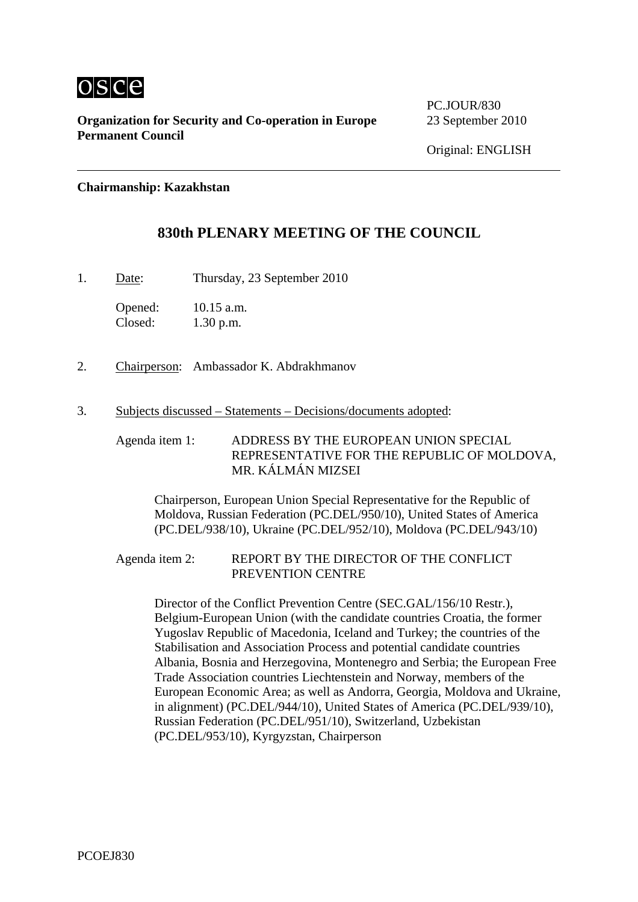

**Organization for Security and Co-operation in Europe** 23 September 2010 **Permanent Council** 

PC.JOUR/830

#### **Chairmanship: Kazakhstan**

### **830th PLENARY MEETING OF THE COUNCIL**

1. Date: Thursday, 23 September 2010

Opened: 10.15 a.m. Closed: 1.30 p.m.

- 2. Chairperson: Ambassador K. Abdrakhmanov
- 3. Subjects discussed Statements Decisions/documents adopted:

Agenda item 1: ADDRESS BY THE EUROPEAN UNION SPECIAL REPRESENTATIVE FOR THE REPUBLIC OF MOLDOVA, MR. KÁLMÁN MIZSEI

Chairperson, European Union Special Representative for the Republic of Moldova, Russian Federation (PC.DEL/950/10), United States of America (PC.DEL/938/10), Ukraine (PC.DEL/952/10), Moldova (PC.DEL/943/10)

#### Agenda item 2: REPORT BY THE DIRECTOR OF THE CONFLICT PREVENTION CENTRE

Director of the Conflict Prevention Centre (SEC.GAL/156/10 Restr.), Belgium-European Union (with the candidate countries Croatia, the former Yugoslav Republic of Macedonia, Iceland and Turkey; the countries of the Stabilisation and Association Process and potential candidate countries Albania, Bosnia and Herzegovina, Montenegro and Serbia; the European Free Trade Association countries Liechtenstein and Norway, members of the European Economic Area; as well as Andorra, Georgia, Moldova and Ukraine, in alignment) (PC.DEL/944/10), United States of America (PC.DEL/939/10), Russian Federation (PC.DEL/951/10), Switzerland, Uzbekistan (PC.DEL/953/10), Kyrgyzstan, Chairperson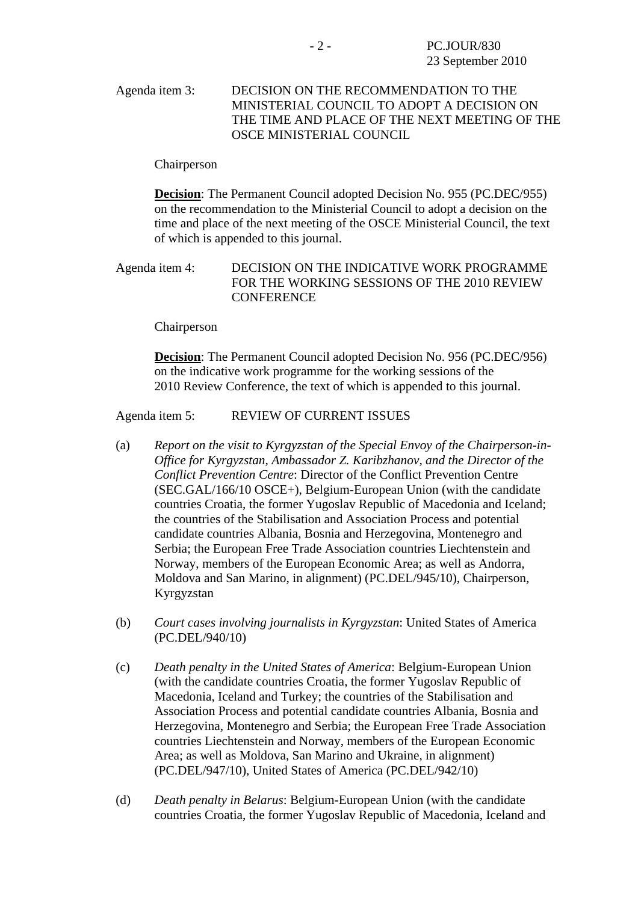Agenda item 3: DECISION ON THE RECOMMENDATION TO THE MINISTERIAL COUNCIL TO ADOPT A DECISION ON THE TIME AND PLACE OF THE NEXT MEETING OF THE OSCE MINISTERIAL COUNCIL

#### Chairperson

**Decision**: The Permanent Council adopted Decision No. 955 (PC.DEC/955) on the recommendation to the Ministerial Council to adopt a decision on the time and place of the next meeting of the OSCE Ministerial Council, the text of which is appended to this journal.

#### Agenda item 4: DECISION ON THE INDICATIVE WORK PROGRAMME FOR THE WORKING SESSIONS OF THE 2010 REVIEW **CONFERENCE**

Chairperson

**Decision**: The Permanent Council adopted Decision No. 956 (PC.DEC/956) on the indicative work programme for the working sessions of the 2010 Review Conference, the text of which is appended to this journal.

#### Agenda item 5: REVIEW OF CURRENT ISSUES

- (a) *Report on the visit to Kyrgyzstan of the Special Envoy of the Chairperson-in-Office for Kyrgyzstan, Ambassador Z. Karibzhanov, and the Director of the Conflict Prevention Centre*: Director of the Conflict Prevention Centre (SEC.GAL/166/10 OSCE+), Belgium-European Union (with the candidate countries Croatia, the former Yugoslav Republic of Macedonia and Iceland; the countries of the Stabilisation and Association Process and potential candidate countries Albania, Bosnia and Herzegovina, Montenegro and Serbia; the European Free Trade Association countries Liechtenstein and Norway, members of the European Economic Area; as well as Andorra, Moldova and San Marino, in alignment) (PC.DEL/945/10), Chairperson, Kyrgyzstan
- (b) *Court cases involving journalists in Kyrgyzstan*: United States of America (PC.DEL/940/10)
- (c) *Death penalty in the United States of America*: Belgium-European Union (with the candidate countries Croatia, the former Yugoslav Republic of Macedonia, Iceland and Turkey; the countries of the Stabilisation and Association Process and potential candidate countries Albania, Bosnia and Herzegovina, Montenegro and Serbia; the European Free Trade Association countries Liechtenstein and Norway, members of the European Economic Area; as well as Moldova, San Marino and Ukraine, in alignment) (PC.DEL/947/10), United States of America (PC.DEL/942/10)
- (d) *Death penalty in Belarus*: Belgium-European Union (with the candidate countries Croatia, the former Yugoslav Republic of Macedonia, Iceland and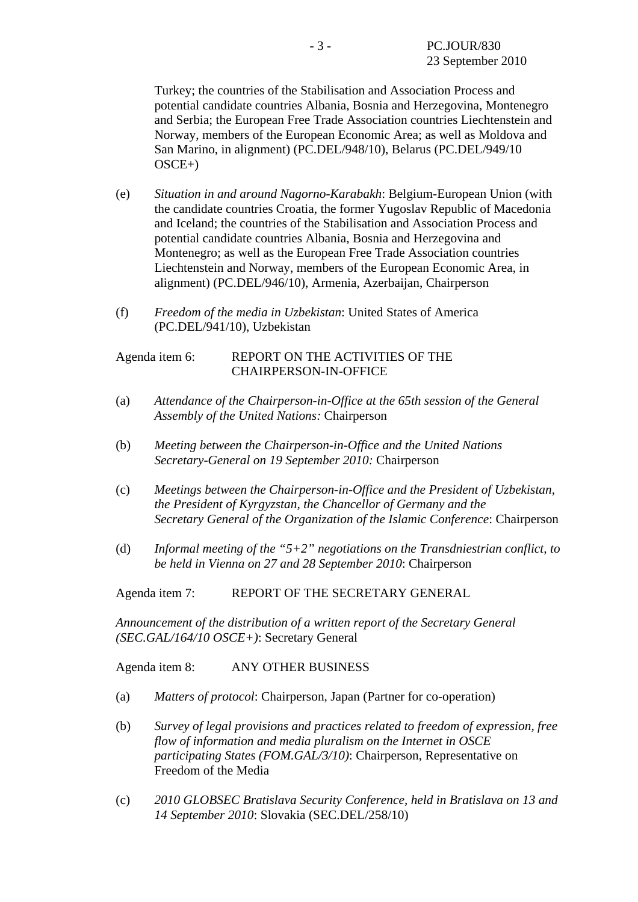Turkey; the countries of the Stabilisation and Association Process and potential candidate countries Albania, Bosnia and Herzegovina, Montenegro and Serbia; the European Free Trade Association countries Liechtenstein and Norway, members of the European Economic Area; as well as Moldova and San Marino, in alignment) (PC.DEL/948/10), Belarus (PC.DEL/949/10  $OSCE+$ )

- (e) *Situation in and around Nagorno-Karabakh*: Belgium-European Union (with the candidate countries Croatia, the former Yugoslav Republic of Macedonia and Iceland; the countries of the Stabilisation and Association Process and potential candidate countries Albania, Bosnia and Herzegovina and Montenegro; as well as the European Free Trade Association countries Liechtenstein and Norway, members of the European Economic Area, in alignment) (PC.DEL/946/10), Armenia, Azerbaijan, Chairperson
- (f) *Freedom of the media in Uzbekistan*: United States of America (PC.DEL/941/10), Uzbekistan

#### Agenda item 6: REPORT ON THE ACTIVITIES OF THE CHAIRPERSON-IN-OFFICE

- (a) *Attendance of the Chairperson-in-Office at the 65th session of the General Assembly of the United Nations:* Chairperson
- (b) *Meeting between the Chairperson-in-Office and the United Nations Secretary-General on 19 September 2010:* Chairperson
- (c) *Meetings between the Chairperson-in-Office and the President of Uzbekistan, the President of Kyrgyzstan, the Chancellor of Germany and the Secretary General of the Organization of the Islamic Conference*: Chairperson
- (d) *Informal meeting of the "5+2" negotiations on the Transdniestrian conflict, to be held in Vienna on 27 and 28 September 2010*: Chairperson

Agenda item 7: REPORT OF THE SECRETARY GENERAL

*Announcement of the distribution of a written report of the Secretary General (SEC.GAL/164/10 OSCE+)*: Secretary General

Agenda item 8: ANY OTHER BUSINESS

- (a) *Matters of protocol*: Chairperson, Japan (Partner for co-operation)
- (b) *Survey of legal provisions and practices related to freedom of expression, free flow of information and media pluralism on the Internet in OSCE participating States (FOM.GAL/3/10)*: Chairperson, Representative on Freedom of the Media
- (c) *2010 GLOBSEC Bratislava Security Conference, held in Bratislava on 13 and 14 September 2010*: Slovakia (SEC.DEL/258/10)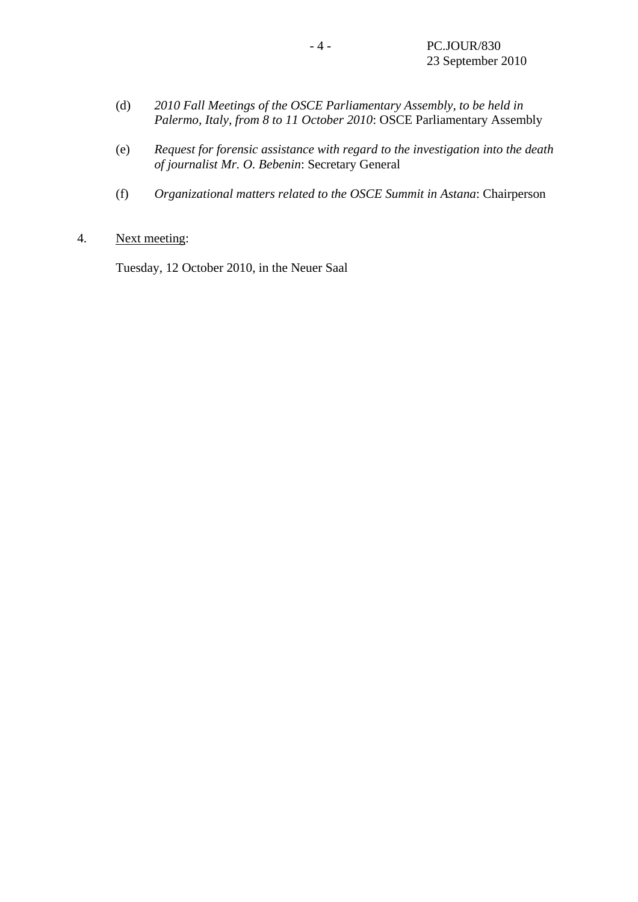- (d) *2010 Fall Meetings of the OSCE Parliamentary Assembly, to be held in Palermo, Italy, from 8 to 11 October 2010*: OSCE Parliamentary Assembly
- (e) *Request for forensic assistance with regard to the investigation into the death of journalist Mr. O. Bebenin*: Secretary General
- (f) *Organizational matters related to the OSCE Summit in Astana*: Chairperson
- 4. Next meeting:

Tuesday, 12 October 2010, in the Neuer Saal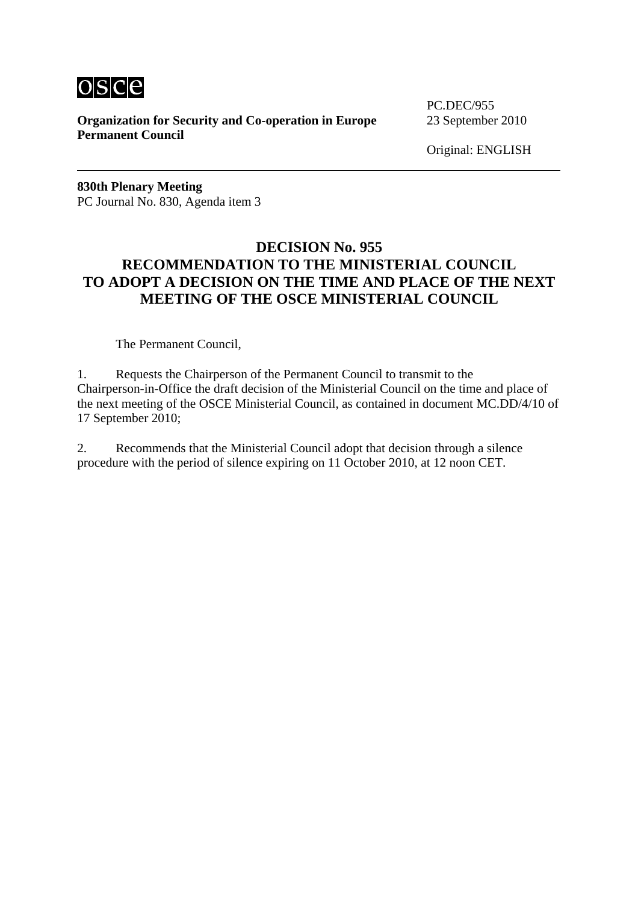

**Organization for Security and Co-operation in Europe** 23 September 2010 **Permanent Council** 

PC.DEC/955

Original: ENGLISH

**830th Plenary Meeting**  PC Journal No. 830, Agenda item 3

### **DECISION No. 955 RECOMMENDATION TO THE MINISTERIAL COUNCIL TO ADOPT A DECISION ON THE TIME AND PLACE OF THE NEXT MEETING OF THE OSCE MINISTERIAL COUNCIL**

The Permanent Council,

1. Requests the Chairperson of the Permanent Council to transmit to the Chairperson-in-Office the draft decision of the Ministerial Council on the time and place of the next meeting of the OSCE Ministerial Council, as contained in document MC.DD/4/10 of 17 September 2010;

2. Recommends that the Ministerial Council adopt that decision through a silence procedure with the period of silence expiring on 11 October 2010, at 12 noon CET.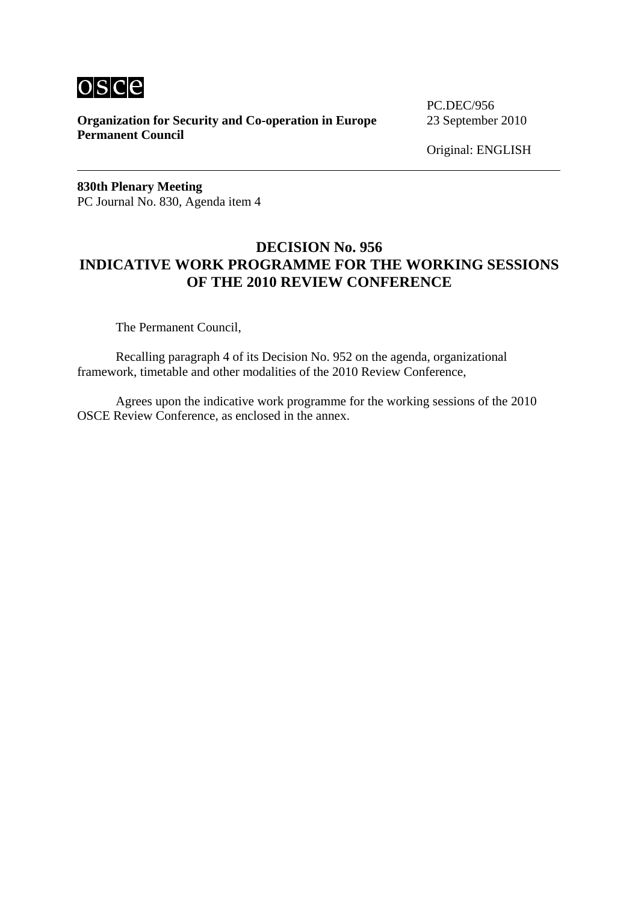

**Organization for Security and Co-operation in Europe** 23 September 2010 **Permanent Council** 

PC.DEC/956

Original: ENGLISH

**830th Plenary Meeting**  PC Journal No. 830, Agenda item 4

### **DECISION No. 956 INDICATIVE WORK PROGRAMME FOR THE WORKING SESSIONS OF THE 2010 REVIEW CONFERENCE**

The Permanent Council,

 Recalling paragraph 4 of its Decision No. 952 on the agenda, organizational framework, timetable and other modalities of the 2010 Review Conference,

 Agrees upon the indicative work programme for the working sessions of the 2010 OSCE Review Conference, as enclosed in the annex.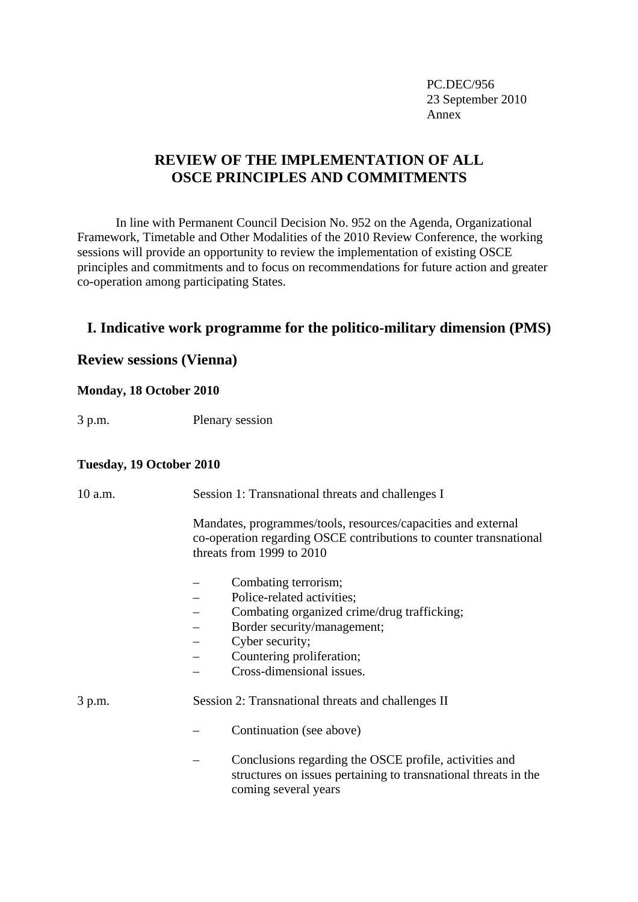PC.DEC/956 23 September 2010 Annex and the state of the state of the state of the state of the state of the state of the state of the state of the state of the state of the state of the state of the state of the state of the state of the state of the

### **REVIEW OF THE IMPLEMENTATION OF ALL OSCE PRINCIPLES AND COMMITMENTS**

 In line with Permanent Council Decision No. 952 on the Agenda, Organizational Framework, Timetable and Other Modalities of the 2010 Review Conference, the working sessions will provide an opportunity to review the implementation of existing OSCE principles and commitments and to focus on recommendations for future action and greater co-operation among participating States.

### **I. Indicative work programme for the politico-military dimension (PMS)**

### **Review sessions (Vienna)**

#### **Monday, 18 October 2010**

3 p.m. Plenary session

#### **Tuesday, 19 October 2010**

| 10 a.m. | Session 1: Transnational threats and challenges I                                                                                                                                                             |
|---------|---------------------------------------------------------------------------------------------------------------------------------------------------------------------------------------------------------------|
|         | Mandates, programmes/tools, resources/capacities and external<br>co-operation regarding OSCE contributions to counter transnational<br>threats from 1999 to 2010                                              |
|         | Combating terrorism;<br>Police-related activities;<br>Combating organized crime/drug trafficking;<br>Border security/management;<br>Cyber security;<br>Countering proliferation;<br>Cross-dimensional issues. |
| 3 p.m.  | Session 2: Transnational threats and challenges II                                                                                                                                                            |
|         | Continuation (see above)                                                                                                                                                                                      |
|         | Conclusions regarding the OSCE profile, activities and<br>structures on issues pertaining to transnational threats in the<br>coming several years                                                             |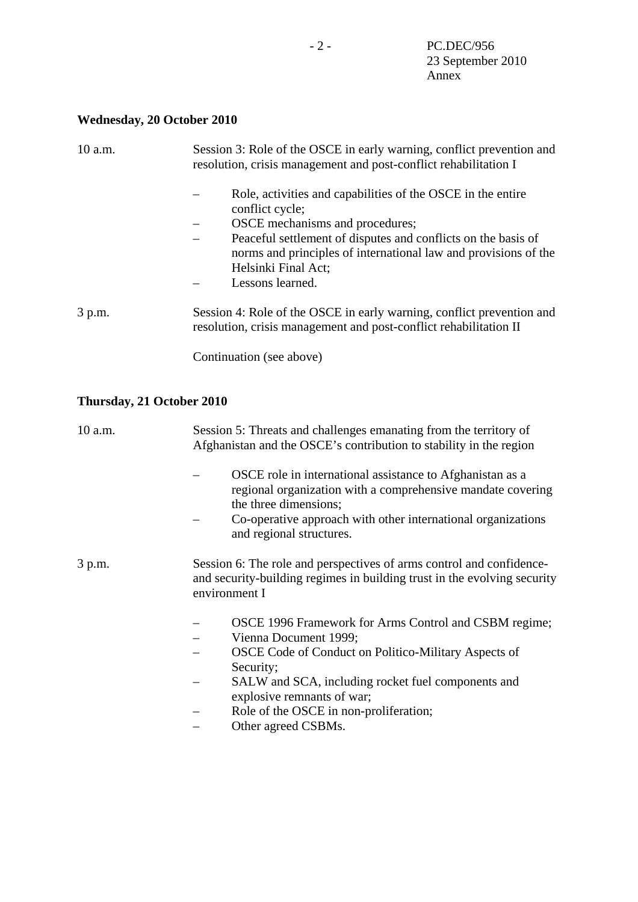# **Wednesday, 20 October 2010**

| 10 a.m. | Session 3: Role of the OSCE in early warning, conflict prevention and<br>resolution, crisis management and post-conflict rehabilitation I                                                                                                                                                             |
|---------|-------------------------------------------------------------------------------------------------------------------------------------------------------------------------------------------------------------------------------------------------------------------------------------------------------|
|         | Role, activities and capabilities of the OSCE in the entire<br>conflict cycle;<br>OSCE mechanisms and procedures;<br>Peaceful settlement of disputes and conflicts on the basis of<br>—<br>norms and principles of international law and provisions of the<br>Helsinki Final Act;<br>Lessons learned. |
| 3 p.m.  | Session 4: Role of the OSCE in early warning, conflict prevention and<br>resolution, crisis management and post-conflict rehabilitation II<br>Continuation (see above)                                                                                                                                |

# **Thursday, 21 October 2010**

| 10 a.m. | Session 5: Threats and challenges emanating from the territory of<br>Afghanistan and the OSCE's contribution to stability in the region                                                                                                                                                                       |
|---------|---------------------------------------------------------------------------------------------------------------------------------------------------------------------------------------------------------------------------------------------------------------------------------------------------------------|
|         | OSCE role in international assistance to Afghanistan as a<br>regional organization with a comprehensive mandate covering<br>the three dimensions;<br>Co-operative approach with other international organizations<br>and regional structures.                                                                 |
| 3 p.m.  | Session 6: The role and perspectives of arms control and confidence-<br>and security-building regimes in building trust in the evolving security<br>environment I                                                                                                                                             |
|         | OSCE 1996 Framework for Arms Control and CSBM regime;<br>Vienna Document 1999;<br>OSCE Code of Conduct on Politico-Military Aspects of<br>Security;<br>SALW and SCA, including rocket fuel components and<br>explosive remnants of war;<br>Role of the OSCE in non-proliferation;<br>—<br>Other agreed CSBMs. |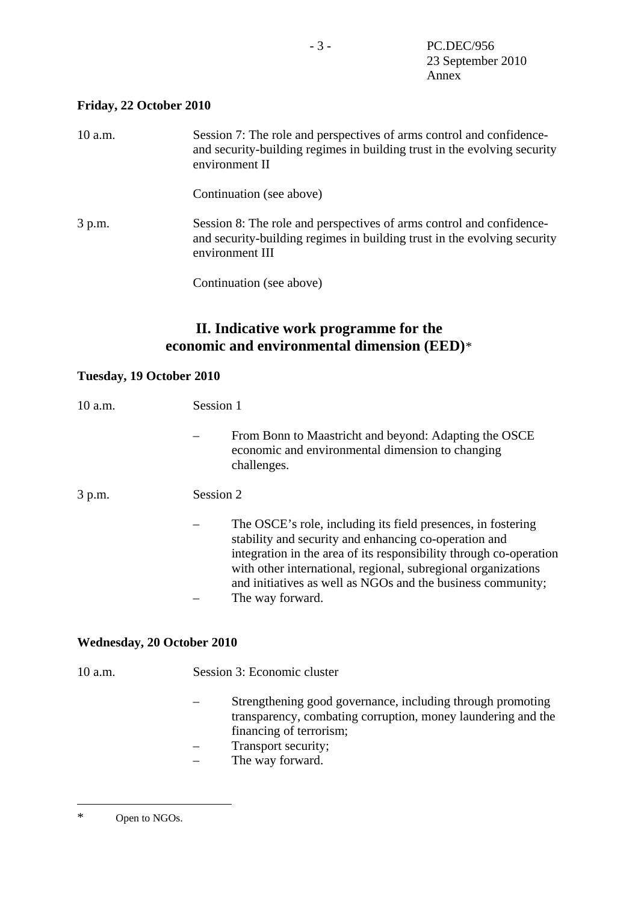### <span id="page-8-0"></span>**Friday, 22 October 2010**

| 10 a.m. | Session 7: The role and perspectives of arms control and confidence-<br>and security-building regimes in building trust in the evolving security<br>environment II  |
|---------|---------------------------------------------------------------------------------------------------------------------------------------------------------------------|
|         | Continuation (see above)                                                                                                                                            |
| 3 p.m.  | Session 8: The role and perspectives of arms control and confidence-<br>and security-building regimes in building trust in the evolving security<br>environment III |

Continuation (see above)

# **II. Indicative work programme for the economic and environmental dimension (EED)**[\\*](#page-8-0)

### **Tuesday, 19 October 2010**

| 10 a.m.                           | Session 1                                                                                                                                                                                                                                                                                                                                       |
|-----------------------------------|-------------------------------------------------------------------------------------------------------------------------------------------------------------------------------------------------------------------------------------------------------------------------------------------------------------------------------------------------|
|                                   | From Bonn to Maastricht and beyond: Adapting the OSCE<br>economic and environmental dimension to changing<br>challenges.                                                                                                                                                                                                                        |
| 3 p.m.                            | Session 2                                                                                                                                                                                                                                                                                                                                       |
|                                   | The OSCE's role, including its field presences, in fostering<br>stability and security and enhancing co-operation and<br>integration in the area of its responsibility through co-operation<br>with other international, regional, subregional organizations<br>and initiatives as well as NGOs and the business community;<br>The way forward. |
| <b>Wednesday, 20 October 2010</b> |                                                                                                                                                                                                                                                                                                                                                 |
| 10 a.m.                           | Session 3: Economic cluster                                                                                                                                                                                                                                                                                                                     |

- Strengthening good governance, including through promoting transparency, combating corruption, money laundering and the financing of terrorism;
- Transport security;
- The way forward.

 $\overline{a}$ 

<sup>\*</sup> Open to NGOs.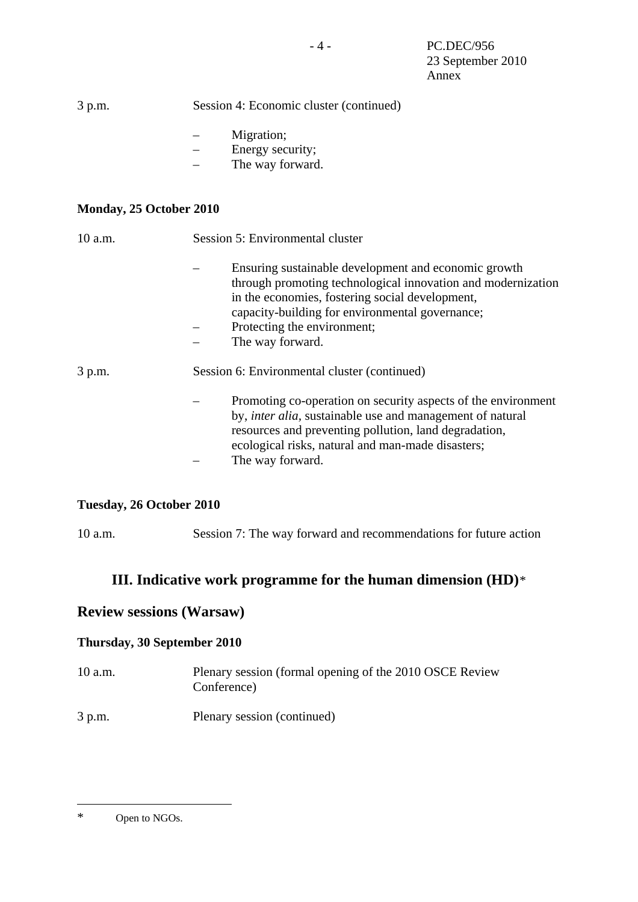<span id="page-9-0"></span>

| 3 p.m.                  | Session 4: Economic cluster (continued)                                                                                                                                                                                                                              |
|-------------------------|----------------------------------------------------------------------------------------------------------------------------------------------------------------------------------------------------------------------------------------------------------------------|
|                         | Migration;<br>Energy security;<br>The way forward.                                                                                                                                                                                                                   |
| Monday, 25 October 2010 |                                                                                                                                                                                                                                                                      |
| 10 a.m.                 | Session 5: Environmental cluster                                                                                                                                                                                                                                     |
|                         | Ensuring sustainable development and economic growth<br>through promoting technological innovation and modernization<br>in the economies, fostering social development,<br>capacity-building for environmental governance;                                           |
|                         | Protecting the environment;<br>The way forward.                                                                                                                                                                                                                      |
| 3 p.m.                  | Session 6: Environmental cluster (continued)                                                                                                                                                                                                                         |
|                         | Promoting co-operation on security aspects of the environment<br>by, <i>inter alia</i> , sustainable use and management of natural<br>resources and preventing pollution, land degradation,<br>ecological risks, natural and man-made disasters;<br>The way forward. |

### **Tuesday, 26 October 2010**

10 a.m. Session 7: The way forward and recommendations for future action

### **III. Indicative work programme for the human dimension (HD)**[\\*](#page-9-0)

### **Review sessions (Warsaw)**

### **Thursday, 30 September 2010**

- 10 a.m. Plenary session (formal opening of the 2010 OSCE Review Conference)
- 3 p.m. Plenary session (continued)

 $\overline{a}$ 

<sup>\*</sup> Open to NGOs.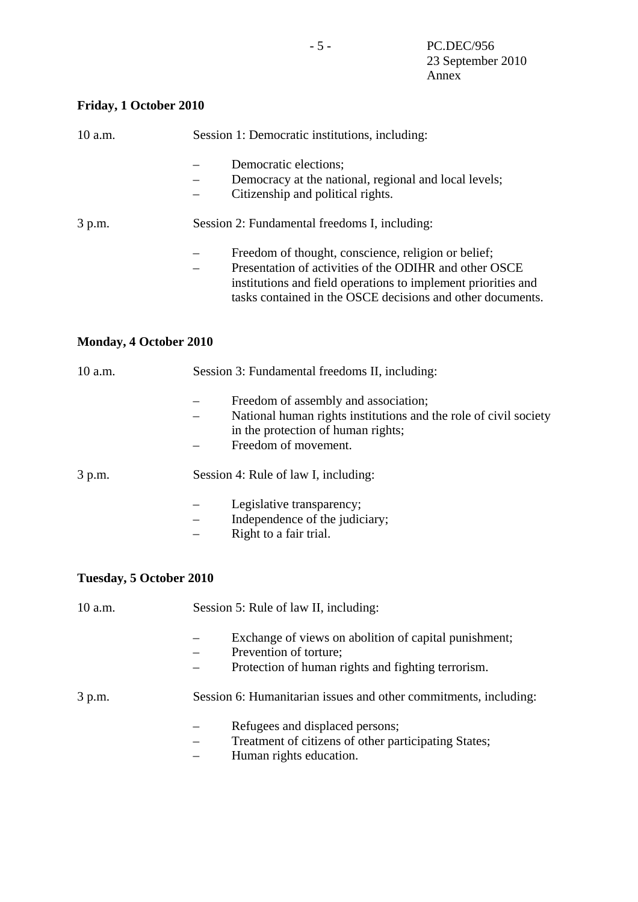# **Friday, 1 October 2010**

| 10 a.m.                        | Session 1: Democratic institutions, including:                                                                                                                                                                                               |
|--------------------------------|----------------------------------------------------------------------------------------------------------------------------------------------------------------------------------------------------------------------------------------------|
|                                | Democratic elections;<br>Democracy at the national, regional and local levels;<br>Citizenship and political rights.                                                                                                                          |
| 3 p.m.                         | Session 2: Fundamental freedoms I, including:                                                                                                                                                                                                |
|                                | Freedom of thought, conscience, religion or belief;<br>Presentation of activities of the ODIHR and other OSCE<br>institutions and field operations to implement priorities and<br>tasks contained in the OSCE decisions and other documents. |
| <b>Monday, 4 October 2010</b>  |                                                                                                                                                                                                                                              |
| 10 a.m.                        | Session 3: Fundamental freedoms II, including:                                                                                                                                                                                               |
|                                | Freedom of assembly and association;<br>National human rights institutions and the role of civil society<br>in the protection of human rights;<br>Freedom of movement.                                                                       |
| 3 p.m.                         | Session 4: Rule of law I, including:                                                                                                                                                                                                         |
|                                | Legislative transparency;<br>Independence of the judiciary;<br>Right to a fair trial.                                                                                                                                                        |
| <b>Tuesday, 5 October 2010</b> |                                                                                                                                                                                                                                              |
| 10 a.m.                        | Session 5: Rule of law II, including:                                                                                                                                                                                                        |
|                                | Exchange of views on abolition of capital punishment;<br>Prevention of torture;<br>Protection of human rights and fighting terrorism.                                                                                                        |
| 3 p.m.                         | Session 6: Humanitarian issues and other commitments, including:                                                                                                                                                                             |
|                                | Refugees and displaced persons;<br>Treatment of citizens of other participating States;<br>Human rights education.                                                                                                                           |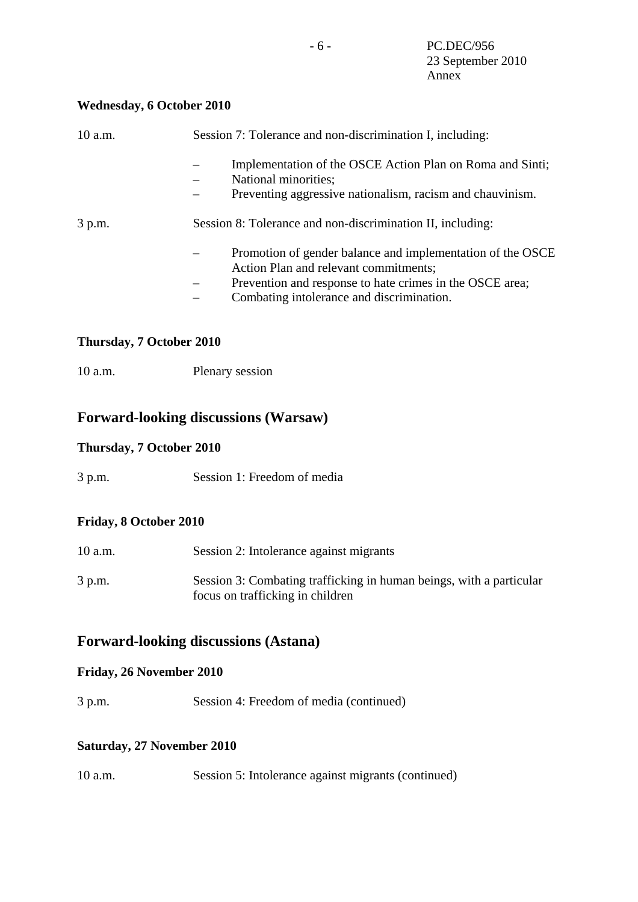### **Wednesday, 6 October 2010**

| $10$ a.m.      | Session 7: Tolerance and non-discrimination I, including:                                                                                                                                                                         |
|----------------|-----------------------------------------------------------------------------------------------------------------------------------------------------------------------------------------------------------------------------------|
|                | Implementation of the OSCE Action Plan on Roma and Sinti;<br>National minorities;<br>Preventing aggressive nationalism, racism and chauvinism.                                                                                    |
| 3 p.m.         | Session 8: Tolerance and non-discrimination II, including:                                                                                                                                                                        |
|                | Promotion of gender balance and implementation of the OSCE<br>Action Plan and relevant commitments;<br>Prevention and response to hate crimes in the OSCE area;<br>$\qquad \qquad -$<br>Combating intolerance and discrimination. |
| $\blacksquare$ | $\blacksquare$ $\blacksquare$ $\Omega$ $\blacksquare$ $\blacksquare$ $\Omega$ $\blacksquare$ $\Omega$                                                                                                                             |

### **Thursday, 7 October 2010**

10 a.m. Plenary session

### **Forward-looking discussions (Warsaw)**

### **Thursday, 7 October 2010**

3 p.m. Session 1: Freedom of media

### **Friday, 8 October 2010**

| 10 a.m. | Session 2: Intolerance against migrants                                                                 |
|---------|---------------------------------------------------------------------------------------------------------|
| 3 p.m.  | Session 3: Combating trafficking in human beings, with a particular<br>focus on trafficking in children |

## **Forward-looking discussions (Astana)**

### **Friday, 26 November 2010**

3 p.m. Session 4: Freedom of media (continued)

### **Saturday, 27 November 2010**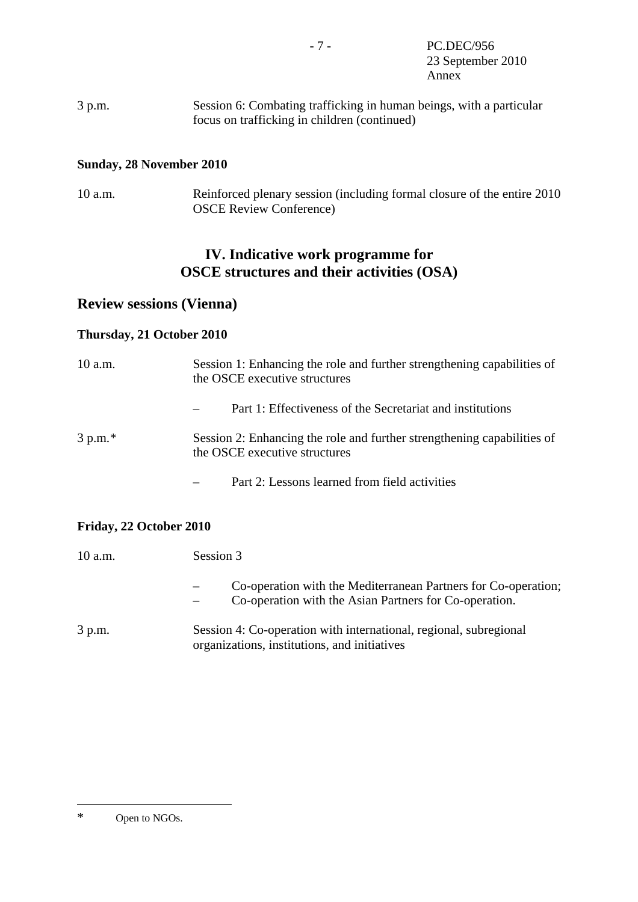<span id="page-12-0"></span>3 p.m. Session 6: Combating trafficking in human beings, with a particular focus on trafficking in children (continued)

#### **Sunday, 28 November 2010**

10 a.m. Reinforced plenary session (including formal closure of the entire 2010 OSCE Review Conference)

# **IV. Indicative work programme for OSCE structures and their activities (OSA)**

### **Review sessions (Vienna)**

### **Thursday, 21 October 2010**

| 10 a.m.   | Session 1: Enhancing the role and further strengthening capabilities of<br>the OSCE executive structures |
|-----------|----------------------------------------------------------------------------------------------------------|
|           | Part 1: Effectiveness of the Secretariat and institutions                                                |
| $3 p.m.*$ | Session 2: Enhancing the role and further strengthening capabilities of<br>the OSCE executive structures |
|           | Part 2: Lessons learned from field activities                                                            |

#### **Friday, 22 October 2010**

| 10 a.m. | Session 3                                                                                                                |
|---------|--------------------------------------------------------------------------------------------------------------------------|
|         | Co-operation with the Mediterranean Partners for Co-operation;<br>Co-operation with the Asian Partners for Co-operation. |
| 3 p.m.  | Session 4: Co-operation with international, regional, subregional<br>organizations, institutions, and initiatives        |

 $\overline{a}$ \* Open to NGOs.